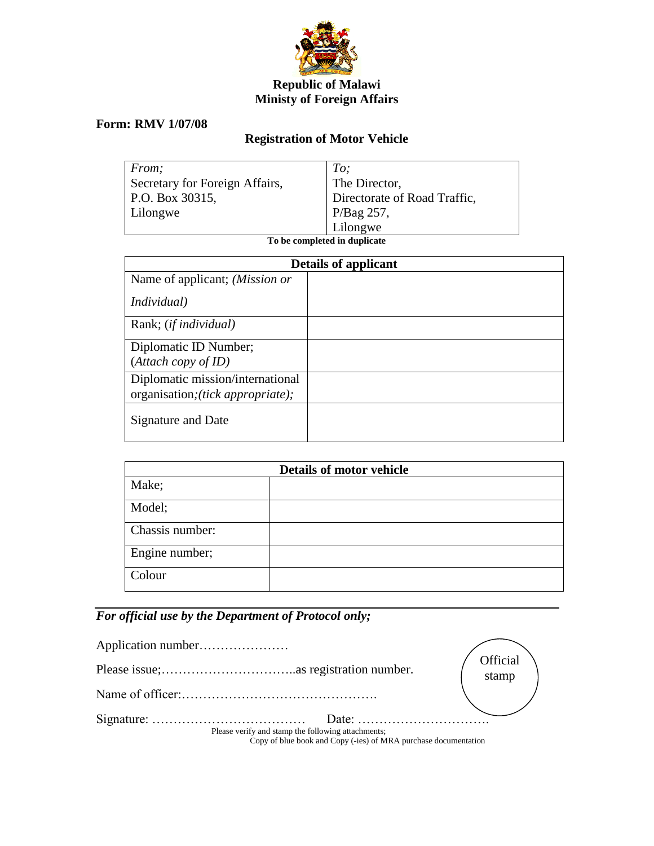

## **Republic of Malawi Ministy of Foreign Affairs**

## **Form: RMV 1/07/08**

## **Registration of Motor Vehicle**

| From;                          | To:                          |
|--------------------------------|------------------------------|
| Secretary for Foreign Affairs, | The Director,                |
| P.O. Box 30315,                | Directorate of Road Traffic, |
| Lilongwe                       | $\vert$ P/Bag 257,           |
|                                | Lilongwe                     |

**To be completed in duplicate**

| <b>Details of applicant</b>       |  |
|-----------------------------------|--|
| Name of applicant; (Mission or    |  |
| <i>Individual</i> )               |  |
| Rank; (if individual)             |  |
| Diplomatic ID Number;             |  |
| (Attach copy of ID)               |  |
| Diplomatic mission/international  |  |
| organisation; (tick appropriate); |  |
| Signature and Date                |  |

| <b>Details of motor vehicle</b> |  |  |
|---------------------------------|--|--|
| Make;                           |  |  |
| Model;                          |  |  |
| Chassis number:                 |  |  |
| Engine number;                  |  |  |
| Colour                          |  |  |

## *For official use by the Department of Protocol only;*

|                                                    | Official                                                        |
|----------------------------------------------------|-----------------------------------------------------------------|
|                                                    |                                                                 |
|                                                    | stamp                                                           |
| Please verify and stamp the following attachments; | Copy of blue book and Copy (-ies) of MRA purchase documentation |